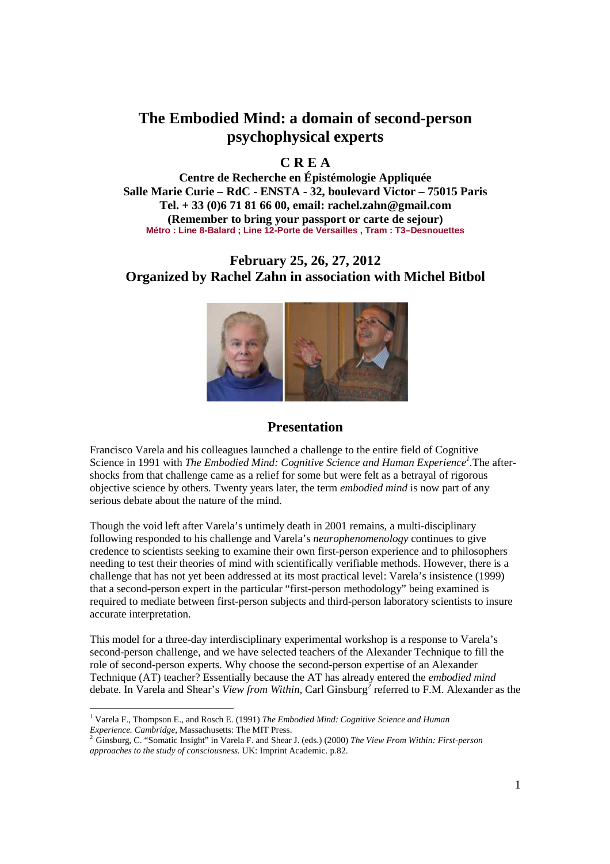# **The Embodied Mind: a domain of second-person psychophysical experts**

## **C R E A**

**Centre de Recherche en Épistémologie Appliquée Salle Marie Curie – RdC - ENSTA - 32, boulevard Victor – 75015 Paris Tel. + 33 (0)6 71 81 66 00, email: rachel.zahn@gmail.com (Remember to bring your passport or carte de sejour) Métro : Line 8-Balard ; Line 12-Porte de Versailles , Tram : T3–Desnouettes** 

## **February 25, 26, 27, 2012 Organized by Rachel Zahn in association with Michel Bitbol**



### **Presentation**

Francisco Varela and his colleagues launched a challenge to the entire field of Cognitive Science in 1991 with *The Embodied Mind: Cognitive Science and Human Experience<sup>1</sup> .*The aftershocks from that challenge came as a relief for some but were felt as a betrayal of rigorous objective science by others. Twenty years later, the term *embodied mind* is now part of any serious debate about the nature of the mind.

Though the void left after Varela's untimely death in 2001 remains, a multi-disciplinary following responded to his challenge and Varela's *neurophenomenology* continues to give credence to scientists seeking to examine their own first-person experience and to philosophers needing to test their theories of mind with scientifically verifiable methods. However, there is a challenge that has not yet been addressed at its most practical level: Varela's insistence (1999) that a second-person expert in the particular "first-person methodology" being examined is required to mediate between first-person subjects and third-person laboratory scientists to insure accurate interpretation.

This model for a three-day interdisciplinary experimental workshop is a response to Varela's second-person challenge, and we have selected teachers of the Alexander Technique to fill the role of second-person experts. Why choose the second-person expertise of an Alexander Technique (AT) teacher? Essentially because the AT has already entered the *embodied mind*  debate. In Varela and Shear's *View from Within*, Carl Ginsburg<sup>2</sup> referred to F.M. Alexander as the

 1 Varela F., Thompson E., and Rosch E. (1991) *The Embodied Mind: Cognitive Science and Human Experience. Cambridge*, Massachusetts: The MIT Press.

<sup>2</sup> Ginsburg, C. "Somatic Insight" in Varela F. and Shear J. (eds.) (2000) *The View From Within: First-person approaches to the study of consciousness.* UK: Imprint Academic. p.82.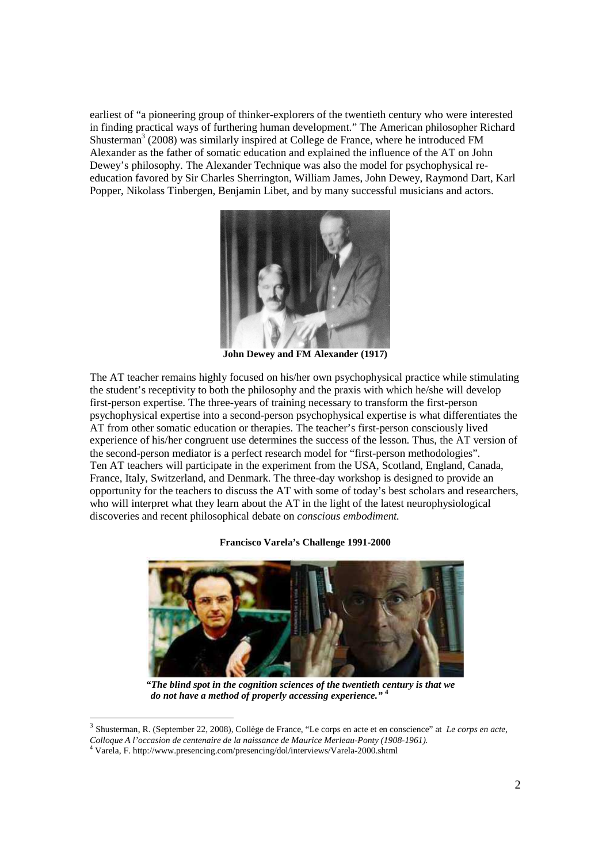earliest of "a pioneering group of thinker-explorers of the twentieth century who were interested in finding practical ways of furthering human development." The American philosopher Richard Shusterman<sup>3</sup> (2008) was similarly inspired at College de France, where he introduced FM Alexander as the father of somatic education and explained the influence of the AT on John Dewey's philosophy. The Alexander Technique was also the model for psychophysical reeducation favored by Sir Charles Sherrington, William James, John Dewey, Raymond Dart, Karl Popper, Nikolass Tinbergen, Benjamin Libet, and by many successful musicians and actors.



**John Dewey and FM Alexander (1917)** 

The AT teacher remains highly focused on his/her own psychophysical practice while stimulating the student's receptivity to both the philosophy and the praxis with which he/she will develop first-person expertise. The three-years of training necessary to transform the first-person psychophysical expertise into a second-person psychophysical expertise is what differentiates the AT from other somatic education or therapies. The teacher's first-person consciously lived experience of his/her congruent use determines the success of the lesson. Thus, the AT version of the second-person mediator is a perfect research model for "first-person methodologies". Ten AT teachers will participate in the experiment from the USA, Scotland, England, Canada, France, Italy, Switzerland, and Denmark. The three-day workshop is designed to provide an opportunity for the teachers to discuss the AT with some of today's best scholars and researchers, who will interpret what they learn about the AT in the light of the latest neurophysiological discoveries and recent philosophical debate on *conscious embodiment.* 

#### **Francisco Varela's Challenge 1991-2000**



*"The blind spot in the cognition sciences of the twentieth century is that we do not have a method of properly accessing experience."* **<sup>4</sup>**

-

<sup>3</sup> Shusterman, R. (September 22, 2008), Collège de France, "Le corps en acte et en conscience" at *Le corps en acte,* 

*Colloque A l'occasion de centenaire de la naissance de Maurice Merleau-Ponty (1908-1961).* 

<sup>4</sup> Varela, F. http://www.presencing.com/presencing/dol/interviews/Varela-2000.shtml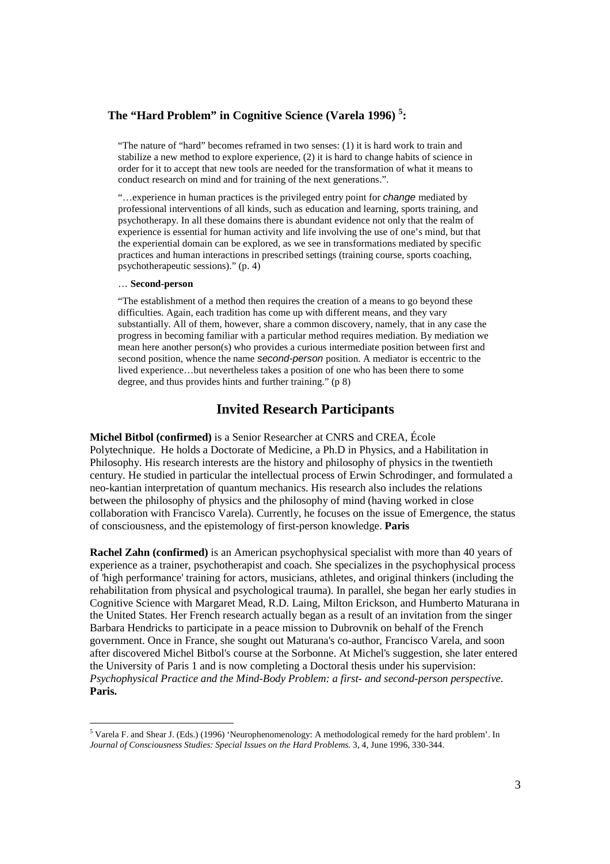### **The "Hard Problem" in Cognitive Science (Varela 1996) <sup>5</sup> :**

"The nature of "hard" becomes reframed in two senses: (1) it is hard work to train and stabilize a new method to explore experience, (2) it is hard to change habits of science in order for it to accept that new tools are needed for the transformation of what it means to conduct research on mind and for training of the next generations.".

"…experience in human practices is the privileged entry point for change mediated by professional interventions of all kinds, such as education and learning, sports training, and psychotherapy. In all these domains there is abundant evidence not only that the realm of experience is essential for human activity and life involving the use of one's mind, but that the experiential domain can be explored, as we see in transformations mediated by specific practices and human interactions in prescribed settings (training course, sports coaching, psychotherapeutic sessions)." (p. 4)

#### … **Second-person**

-

"The establishment of a method then requires the creation of a means to go beyond these difficulties. Again, each tradition has come up with different means, and they vary substantially. All of them, however, share a common discovery, namely, that in any case the progress in becoming familiar with a particular method requires mediation. By mediation we mean here another person(s) who provides a curious intermediate position between first and second position, whence the name second-person position. A mediator is eccentric to the lived experience…but nevertheless takes a position of one who has been there to some degree, and thus provides hints and further training." (p 8)

### **Invited Research Participants**

**Michel Bitbol (confirmed)** is a Senior Researcher at CNRS and CREA, École Polytechnique. He holds a Doctorate of Medicine, a Ph.D in Physics, and a Habilitation in Philosophy. His research interests are the history and philosophy of physics in the twentieth century. He studied in particular the intellectual process of Erwin Schrodinger, and formulated a neo-kantian interpretation of quantum mechanics. His research also includes the relations between the philosophy of physics and the philosophy of mind (having worked in close collaboration with Francisco Varela). Currently, he focuses on the issue of Emergence, the status of consciousness, and the epistemology of first-person knowledge. **Paris** 

**Rachel Zahn (confirmed)** is an American psychophysical specialist with more than 40 years of experience as a trainer, psychotherapist and coach. She specializes in the psychophysical process of 'high performance' training for actors, musicians, athletes, and original thinkers (including the rehabilitation from physical and psychological trauma). In parallel, she began her early studies in Cognitive Science with Margaret Mead, R.D. Laing, Milton Erickson, and Humberto Maturana in the United States. Her French research actually began as a result of an invitation from the singer Barbara Hendricks to participate in a peace mission to Dubrovnik on behalf of the French government. Once in France, she sought out Maturana's co-author, Francisco Varela, and soon after discovered Michel Bitbol's course at the Sorbonne. At Michel's suggestion, she later entered the University of Paris 1 and is now completing a Doctoral thesis under his supervision: *Psychophysical Practice and the Mind-Body Problem: a first- and second-person perspective.*  **Paris.**

<sup>&</sup>lt;sup>5</sup> Varela F. and Shear J. (Eds.) (1996) 'Neurophenomenology: A methodological remedy for the hard problem'. In *Journal of Consciousness Studies: Special Issues on the Hard Problems.* 3, 4, June 1996, 330-344.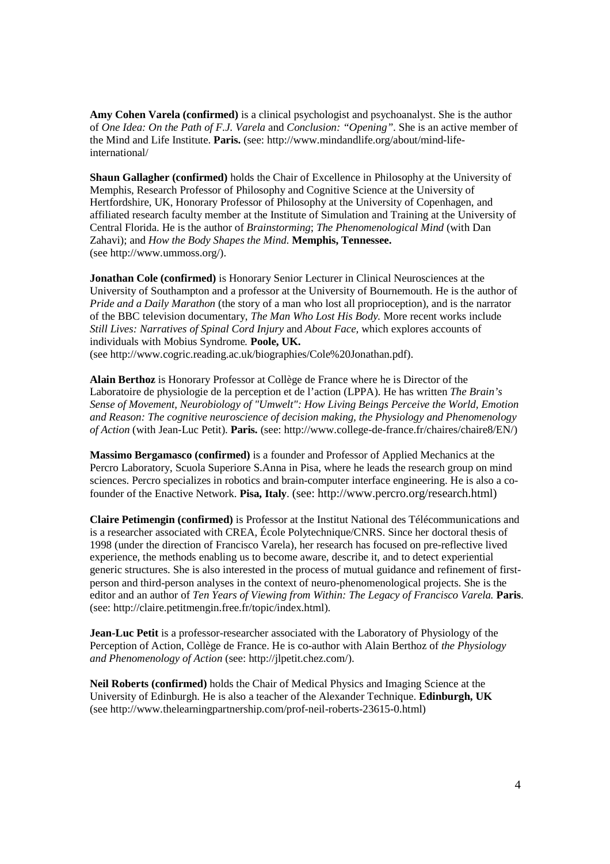**Amy Cohen Varela (confirmed)** is a clinical psychologist and psychoanalyst. She is the author of *One Idea: On the Path of F.J. Varela* and *Conclusion: "Opening"*. She is an active member of the Mind and Life Institute. **Paris.** (see: http://www.mindandlife.org/about/mind-lifeinternational/

**Shaun Gallagher (confirmed)** holds the Chair of Excellence in Philosophy at the University of Memphis, Research Professor of Philosophy and Cognitive Science at the University of Hertfordshire, UK, Honorary Professor of Philosophy at the University of Copenhagen, and affiliated research faculty member at the Institute of Simulation and Training at the University of Central Florida. He is the author of *Brainstorming*; *The Phenomenological Mind* (with Dan Zahavi); and *How the Body Shapes the Mind*. **Memphis, Tennessee.** (see http://www.ummoss.org/).

**Jonathan Cole (confirmed)** is Honorary Senior Lecturer in Clinical Neurosciences at the University of Southampton and a professor at the University of Bournemouth. He is the author of *Pride and a Daily Marathon* (the story of a man who lost all proprioception), and is the narrator of the BBC television documentary, *The Man Who Lost His Body.* More recent works include *Still Lives: Narratives of Spinal Cord Injury* and *About Face,* which explores accounts of individuals with Mobius Syndrome*.* **Poole, UK.**

(see http://www.cogric.reading.ac.uk/biographies/Cole%20Jonathan.pdf).

**Alain Berthoz** is Honorary Professor at Collège de France where he is Director of the Laboratoire de physiologie de la perception et de l'action (LPPA). He has written *The Brain's Sense of Movement, Neurobiology of "Umwelt": How Living Beings Perceive the World, Emotion and Reason: The cognitive neuroscience of decision making, the Physiology and Phenomenology of Action* (with Jean-Luc Petit). **Paris.** (see: http://www.college-de-france.fr/chaires/chaire8/EN/)

**Massimo Bergamasco (confirmed)** is a founder and Professor of Applied Mechanics at the Percro Laboratory, Scuola Superiore S.Anna in Pisa, where he leads the research group on mind sciences. Percro specializes in robotics and brain-computer interface engineering. He is also a cofounder of the Enactive Network. **Pisa, Italy**. (see: http://www.percro.org/research.html)

**Claire Petimengin (confirmed)** is Professor at the Institut National des Télécommunications and is a researcher associated with CREA, École Polytechnique/CNRS. Since her doctoral thesis of 1998 (under the direction of Francisco Varela), her research has focused on pre-reflective lived experience, the methods enabling us to become aware, describe it, and to detect experiential generic structures. She is also interested in the process of mutual guidance and refinement of firstperson and third-person analyses in the context of neuro-phenomenological projects. She is the editor and an author of *Ten Years of Viewing from Within: The Legacy of Francisco Varela.* **Paris**. (see: http://claire.petitmengin.free.fr/topic/index.html).

**Jean-Luc Petit** is a professor-researcher associated with the Laboratory of Physiology of the Perception of Action, Collège de France. He is co-author with Alain Berthoz of *the Physiology and Phenomenology of Action* (see: http://jlpetit.chez.com/).

**Neil Roberts (confirmed)** holds the Chair of Medical Physics and Imaging Science at the University of Edinburgh. He is also a teacher of the Alexander Technique. **Edinburgh, UK** (see http://www.thelearningpartnership.com/prof-neil-roberts-23615-0.html)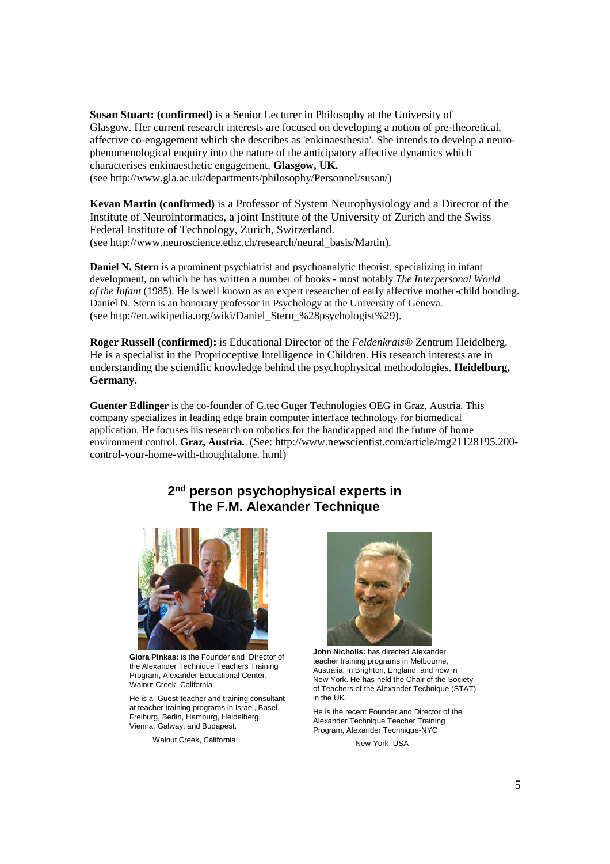**Susan Stuart: (confirmed)** is a Senior Lecturer in Philosophy at the University of Glasgow. Her current research interests are focused on developing a notion of pre-theoretical, affective co-engagement which she describes as 'enkinaesthesia'. She intends to develop a neurophenomenological enquiry into the nature of the anticipatory affective dynamics which characterises enkinaesthetic engagement. **Glasgow, UK.**  (see http://www.gla.ac.uk/departments/philosophy/Personnel/susan/)

**Kevan Martin (confirmed)** is a Professor of System Neurophysiology and a Director of the Institute of Neuroinformatics, a joint Institute of the University of Zurich and the Swiss Federal Institute of Technology, Zurich, Switzerland. (see http://www.neuroscience.ethz.ch/research/neural\_basis/Martin).

**Daniel N. Stern** is a prominent psychiatrist and psychoanalytic theorist, specializing in infant development, on which he has written a number of books - most notably *The Interpersonal World of the Infant* (1985). He is well known as an expert researcher of early affective mother-child bonding. Daniel N. Stern is an honorary professor in Psychology at the University of Geneva. (see http://en.wikipedia.org/wiki/Daniel\_Stern\_%28psychologist%29).

**Roger Russell (confirmed):** is Educational Director of the *Feldenkrais*® Zentrum Heidelberg. He is a specialist in the Proprioceptive Intelligence in Children. His research interests are in understanding the scientific knowledge behind the psychophysical methodologies. **Heidelburg, Germany.** 

**Guenter Edlinger** is the co-founder of G.tec Guger Technologies OEG in Graz, Austria. This company specializes in leading edge brain computer interface technology for biomedical application. He focuses his research on robotics for the handicapped and the future of home environment control. **Graz, Austria.** (See: http://www.newscientist.com/article/mg21128195.200 control-your-home-with-thoughtalone. html)

## **2 nd person psychophysical experts in The F.M. Alexander Technique**



**Giora Pinkas:** is the Founder and Director of the Alexander Technique Teachers Training Program, Alexander Educational Center, Walnut Creek, California.

He is a Guest-teacher and training consultant at teacher training programs in Israel, Basel, Freiburg, Berlin, Hamburg, Heidelberg, Vienna, Galway, and Budapest.

Walnut Creek, California.



**John Nicholls:** has directed Alexander teacher training programs in Melbourne, Australia, in Brighton, England, and now in New York. He has held the Chair of the Society of Teachers of the Alexander Technique (STAT) in the UK.

He is the recent Founder and Director of the Alexander Technique Teacher Training Program, Alexander Technique-NYC

New York, USA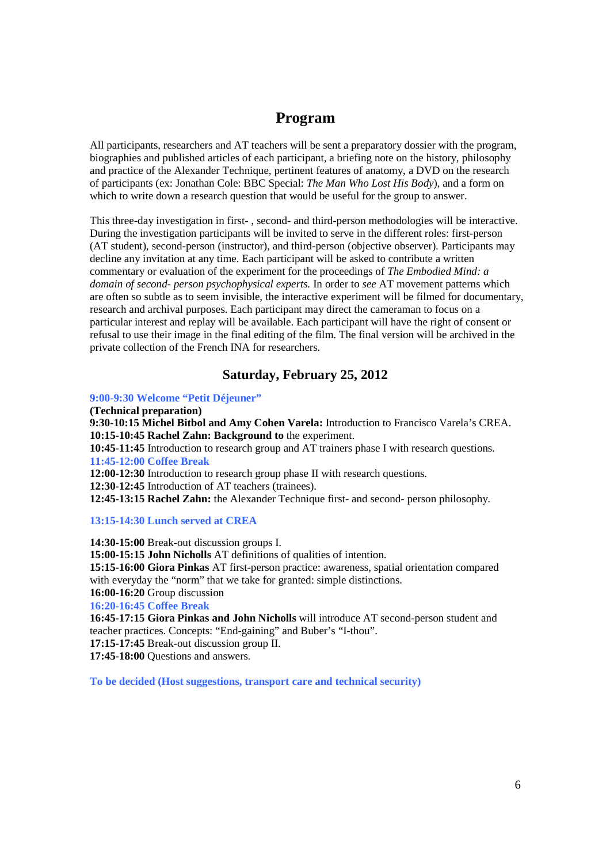# **Program**

All participants, researchers and AT teachers will be sent a preparatory dossier with the program, biographies and published articles of each participant, a briefing note on the history, philosophy and practice of the Alexander Technique, pertinent features of anatomy, a DVD on the research of participants (ex: Jonathan Cole: BBC Special: *The Man Who Lost His Body*), and a form on which to write down a research question that would be useful for the group to answer.

This three-day investigation in first- , second- and third-person methodologies will be interactive. During the investigation participants will be invited to serve in the different roles: first-person (AT student), second-person (instructor), and third-person (objective observer). Participants may decline any invitation at any time. Each participant will be asked to contribute a written commentary or evaluation of the experiment for the proceedings of *The Embodied Mind: a domain of second- person psychophysical experts.* In order to *see* AT movement patterns which are often so subtle as to seem invisible, the interactive experiment will be filmed for documentary, research and archival purposes. Each participant may direct the cameraman to focus on a particular interest and replay will be available. Each participant will have the right of consent or refusal to use their image in the final editing of the film. The final version will be archived in the private collection of the French INA for researchers.

## **Saturday, February 25, 2012**

#### **9:00-9:30 Welcome "Petit Déjeuner"**

**(Technical preparation)** 

**9:30-10:15 Michel Bitbol and Amy Cohen Varela:** Introduction to Francisco Varela's CREA. **10:15-10:45 Rachel Zahn: Background to** the experiment.

**10:45-11:45** Introduction to research group and AT trainers phase I with research questions. **11:45-12:00 Coffee Break** 

**12:00-12:30** Introduction to research group phase II with research questions.

**12:30-12:45** Introduction of AT teachers (trainees).

**12:45-13:15 Rachel Zahn:** the Alexander Technique first- and second- person philosophy.

#### **13:15-14:30 Lunch served at CREA**

**14:30-15:00** Break-out discussion groups I.

**15:00-15:15 John Nicholls** AT definitions of qualities of intention.

**15:15-16:00 Giora Pinkas** AT first-person practice: awareness, spatial orientation compared with everyday the "norm" that we take for granted: simple distinctions.

## **16:00-16:20** Group discussion

**16:20-16:45 Coffee Break** 

**16:45-17:15 Giora Pinkas and John Nicholls** will introduce AT second-person student and teacher practices. Concepts: "End-gaining" and Buber's "I-thou".

**17:15-17:45** Break-out discussion group II.

**17:45-18:00** Questions and answers.

**To be decided (Host suggestions, transport care and technical security)**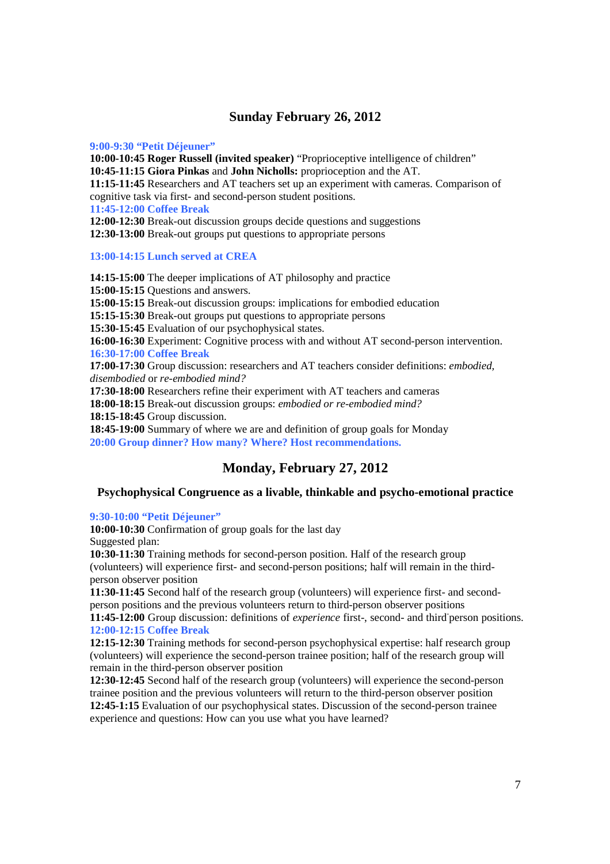### **Sunday February 26, 2012**

#### **9:00-9:30 "Petit Déjeuner"**

**10:00-10:45 Roger Russell (invited speaker)** "Proprioceptive intelligence of children"

**10:45-11:15 Giora Pinkas** and **John Nicholls:** proprioception and the AT.

**11:15-11:45** Researchers and AT teachers set up an experiment with cameras. Comparison of cognitive task via first- and second-person student positions.

**11:45-12:00 Coffee Break** 

**12:00-12:30** Break-out discussion groups decide questions and suggestions

**12:30-13:00** Break-out groups put questions to appropriate persons

**13:00-14:15 Lunch served at CREA** 

**14:15-15:00** The deeper implications of AT philosophy and practice **15:00-15:15** Questions and answers. **15:00-15:15** Break-out discussion groups: implications for embodied education **15:15-15:30** Break-out groups put questions to appropriate persons **15:30-15:45** Evaluation of our psychophysical states. **16:00-16:30** Experiment: Cognitive process with and without AT second-person intervention. **16:30-17:00 Coffee Break 17:00-17:30** Group discussion: researchers and AT teachers consider definitions: *embodied, disembodied* or *re-embodied mind?* **17:30-18:00** Researchers refine their experiment with AT teachers and cameras

**18:00-18:15** Break-out discussion groups: *embodied or re-embodied mind?*

**18:15-18:45** Group discussion.

**18:45-19:00** Summary of where we are and definition of group goals for Monday **20:00 Group dinner? How many? Where? Host recommendations.** 

## **Monday, February 27, 2012**

#### **Psychophysical Congruence as a livable, thinkable and psycho-emotional practice**

#### **9:30-10:00 "Petit Déjeuner"**

**10:00-10:30** Confirmation of group goals for the last day Suggested plan:

**10:30-11:30** Training methods for second-person position. Half of the research group (volunteers) will experience first- and second-person positions; half will remain in the thirdperson observer position

**11:30-11:45** Second half of the research group (volunteers) will experience first- and secondperson positions and the previous volunteers return to third-person observer positions

11:45-12:00 Group discussion: definitions of *experience* first-, second- and third person positions. **12:00-12:15 Coffee Break** 

**12:15-12:30** Training methods for second-person psychophysical expertise: half research group (volunteers) will experience the second-person trainee position; half of the research group will remain in the third-person observer position

**12:30-12:45** Second half of the research group (volunteers) will experience the second-person trainee position and the previous volunteers will return to the third-person observer position **12:45-1:15** Evaluation of our psychophysical states. Discussion of the second-person trainee experience and questions: How can you use what you have learned?